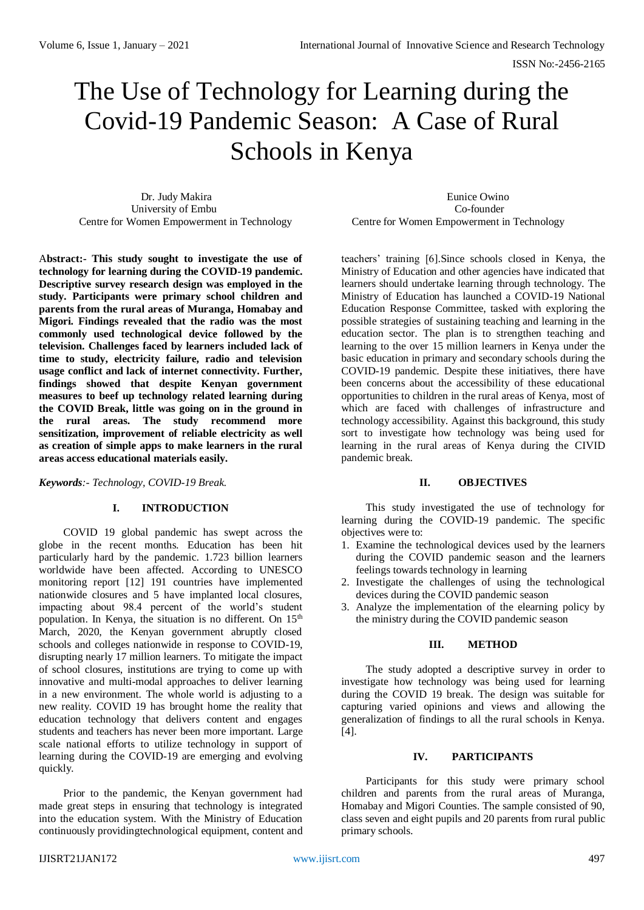# The Use of Technology for Learning during the Covid-19 Pandemic Season: A Case of Rural Schools in Kenya

 Dr. Judy Makira Eunice Owino University of Embu Co-founder

A**bstract:- This study sought to investigate the use of technology for learning during the COVID-19 pandemic. Descriptive survey research design was employed in the study. Participants were primary school children and parents from the rural areas of Muranga, Homabay and Migori. Findings revealed that the radio was the most commonly used technological device followed by the television. Challenges faced by learners included lack of time to study, electricity failure, radio and television usage conflict and lack of internet connectivity. Further, findings showed that despite Kenyan government measures to beef up technology related learning during the COVID Break, little was going on in the ground in the rural areas. The study recommend more sensitization, improvement of reliable electricity as well as creation of simple apps to make learners in the rural areas access educational materials easily.**

*Keywords:- Technology, COVID-19 Break.*

## **I. INTRODUCTION**

COVID 19 global pandemic has swept across the globe in the recent months. Education has been hit particularly hard by the pandemic. 1.723 billion learners worldwide have been affected. According to UNESCO monitoring report [12] 191 countries have implemented nationwide closures and 5 have implanted local closures, impacting about 98.4 percent of the world's student population. In Kenya, the situation is no different. On 15<sup>th</sup> March, 2020, the Kenyan government abruptly closed schools and colleges nationwide in response to COVID-19, disrupting nearly 17 million learners. To mitigate the impact of school closures, institutions are trying to come up with innovative and multi-modal approaches to deliver learning in a new environment. The whole world is adjusting to a new reality. COVID 19 has brought home the reality that education technology that delivers content and engages students and teachers has never been more important. Large scale national efforts to utilize technology in support of learning during the COVID-19 are emerging and evolving quickly.

Prior to the pandemic, the Kenyan government had made great steps in ensuring that technology is integrated into the education system. With the Ministry of Education continuously providingtechnological equipment, content and

Centre for Women Empowerment in Technology Centre for Women Empowerment in Technology

teachers' training [6].Since schools closed in Kenya, the Ministry of Education and other agencies have indicated that learners should undertake learning through technology. The Ministry of Education has launched a COVID-19 National Education Response Committee, tasked with exploring the possible strategies of sustaining teaching and learning in the education sector. The plan is to strengthen teaching and learning to the over 15 million learners in Kenya under the basic education in primary and secondary schools during the COVID-19 pandemic. Despite these initiatives, there have been concerns about the accessibility of these educational opportunities to children in the rural areas of Kenya, most of which are faced with challenges of infrastructure and technology accessibility. Against this background, this study sort to investigate how technology was being used for learning in the rural areas of Kenya during the CIVID pandemic break.

## **II. OBJECTIVES**

This study investigated the use of technology for learning during the COVID-19 pandemic. The specific objectives were to:

- 1. Examine the technological devices used by the learners during the COVID pandemic season and the learners feelings towards technology in learning
- 2. Investigate the challenges of using the technological devices during the COVID pandemic season
- 3. Analyze the implementation of the elearning policy by the ministry during the COVID pandemic season

## **III. METHOD**

The study adopted a descriptive survey in order to investigate how technology was being used for learning during the COVID 19 break. The design was suitable for capturing varied opinions and views and allowing the generalization of findings to all the rural schools in Kenya. [4].

## **IV. PARTICIPANTS**

Participants for this study were primary school children and parents from the rural areas of Muranga, Homabay and Migori Counties. The sample consisted of 90, class seven and eight pupils and 20 parents from rural public primary schools.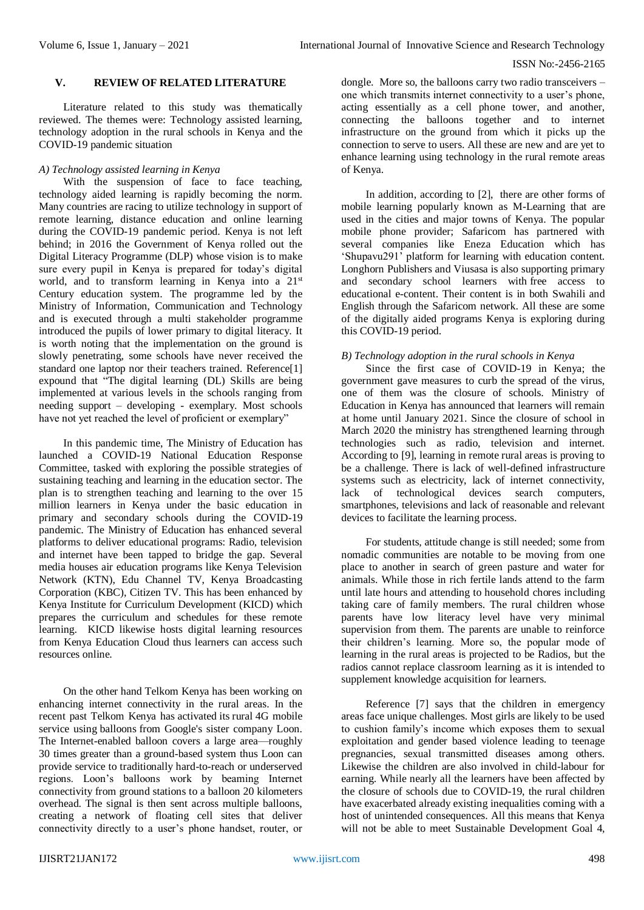### **V. REVIEW OF RELATED LITERATURE**

Literature related to this study was thematically reviewed. The themes were: Technology assisted learning, technology adoption in the rural schools in Kenya and the COVID-19 pandemic situation

## *A) Technology assisted learning in Kenya*

With the suspension of face to face teaching, technology aided learning is rapidly becoming the norm. Many countries are racing to utilize technology in support of remote learning, distance education and online learning during the COVID-19 pandemic period. Kenya is not left behind; in 2016 the Government of Kenya rolled out the Digital Literacy Programme (DLP) whose vision is to make sure every pupil in Kenya is prepared for today's digital world, and to transform learning in Kenya into a 21<sup>st</sup> Century education system. The programme led by the Ministry of Information, Communication and Technology and is executed through a multi stakeholder programme introduced the pupils of lower primary to digital literacy. It is worth noting that the implementation on the ground is slowly penetrating, some schools have never received the standard one laptop nor their teachers trained. Reference[1] expound that "The digital learning (DL) Skills are being implemented at various levels in the schools ranging from needing support – developing - exemplary. Most schools have not yet reached the level of proficient or exemplary"

In this pandemic time, The Ministry of Education has launched a COVID-19 National Education Response Committee, tasked with exploring the possible strategies of sustaining teaching and learning in the education sector. The plan is to strengthen teaching and learning to the over 15 million learners in Kenya under the basic education in primary and secondary schools during the COVID-19 pandemic. The Ministry of Education has enhanced several platforms to deliver educational programs: Radio, television and internet have been tapped to bridge the gap. Several media houses air education programs like Kenya Television Network (KTN), Edu Channel TV, Kenya Broadcasting Corporation [\(KBC\)](https://nam03.safelinks.protection.outlook.com/?url=https%3A%2F%2Fen.sun.mv%2F58785&data=02%7C01%7Cmtrucano%40worldbank.org%7Cd12671555d524655546808d7d5f30abd%7C31a2fec0266b4c67b56e2796d8f59c36%7C0%7C0%7C637213112152447502&sdata=jZY99KX6j%2Fglh0EehGbHO8XbntmlJ%2BM%2BhZ1O0VusNI0%3D&reserved=0), Citizen TV. This has been enhanced by Kenya Institute for Curriculum Development [\(KICD\)](https://nam03.safelinks.protection.outlook.com/?url=http%3A%2F%2Fkicd.ac.ke%2F&data=02%7C01%7Cmtrucano%40worldbank.org%7Cd12671555d524655546808d7d5f30abd%7C31a2fec0266b4c67b56e2796d8f59c36%7C0%7C0%7C637213112152467480&sdata=yEpTF5eT%2FezqVV7LcB6aGxnsnAWLb5bhy0sCZHU6p10%3D&reserved=0) which prepares the curriculum and schedules for these remote learning. KICD likewise hosts digital learning resources from Kenya Education Cloud thus learners can access such resources online.

On the other hand Telkom Kenya has been working on enhancing internet connectivity in the rural areas. In the recent past Telkom Kenya has activated its rural 4G mobile service using balloons from Google's sister company Loon. The Internet-enabled balloon covers a large area—roughly 30 times greater than a ground-based system thus Loon can provide service to traditionally hard-to-reach or underserved regions. Loon's balloons work by beaming Internet connectivity from ground stations to a balloon 20 kilometers overhead. The signal is then sent across multiple balloons, creating a network of floating cell sites that deliver connectivity directly to a user's phone handset, router, or

dongle. More so, the [balloons carry two radio transceivers](http://loon.com/technology/) – one which transmits internet connectivity to a user's phone, acting essentially as a cell phone tower, and another, connecting the balloons together and to internet infrastructure on the ground from which it picks up the connection to serve to users. All these are new and are yet to enhance learning using technology in the rural remote areas of Kenya.

In addition, according to [2], there are other forms of mobile learning popularly known as M-Learning that are used in the cities and major towns of Kenya. The popular mobile phone provider; Safaricom has partnered with several companies like Eneza Education which has 'Shupavu291' platform for learning with education content. Longhorn Publishers and Viusasa is also supporting primary and secondary school learners with [free access to](https://www.standardmedia.co.ke/article/2001367620/safaricom-content-providers-in-deal-to-offer-free-digital-learning)  [educational e-content.](https://www.standardmedia.co.ke/article/2001367620/safaricom-content-providers-in-deal-to-offer-free-digital-learning) Their content is in both Swahili and English through the Safaricom network. All these are some of the digitally aided programs Kenya is exploring during this COVID-19 period.

#### *B) Technology adoption in the rural schools in Kenya*

Since the first case of COVID-19 in Kenya; the government gave measures to curb the spread of the virus, one of them was the closure of schools. Ministry of Education in Kenya has announced that learners will remain at home until January 2021. Since the closure of school in March 2020 the ministry has strengthened learning through technologies such as radio, television and internet. According to [9], learning in remote rural areas is proving to be a challenge. There is lack of well-defined infrastructure systems such as electricity, lack of internet connectivity, lack of technological devices search computers, smartphones, televisions and lack of reasonable and relevant devices to facilitate the learning process.

For students, attitude change is still needed; some from nomadic communities are notable to be moving from one place to another in search of green pasture and water for animals. While those in rich fertile lands attend to the farm until late hours and attending to household chores including taking care of family members. The rural children whose parents have low literacy level have very minimal supervision from them. The parents are unable to reinforce their children's learning. More so, the popular mode of learning in the rural areas is projected to be Radios, but the radios cannot replace classroom learning as it is intended to supplement knowledge acquisition for learners.

Reference [7] says that the children in emergency areas face unique challenges. Most girls are likely to be used to cushion family's income which exposes them to sexual exploitation and gender based violence leading to teenage pregnancies, sexual transmitted diseases among others. Likewise the children are also involved in child-labour for earning. While nearly all the learners have been affected by the closure of schools due to COVID-19, the rural children have exacerbated already existing inequalities coming with a host of unintended consequences. All this means that Kenya will not be able to meet Sustainable Development Goal 4,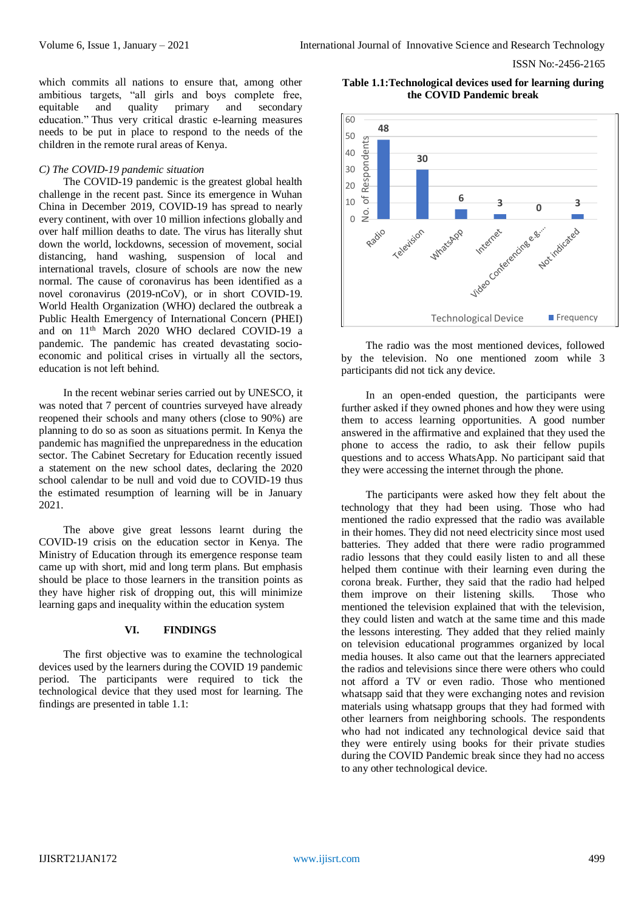which commits all nations to ensure that, among other ambitious targets, "all girls and boys complete free, equitable and quality primary and secondary education." Thus very critical drastic e-learning measures needs to be put in place to respond to the needs of the children in the remote rural areas of Kenya.

## *C) The COVID-19 pandemic situation*

The COVID-19 pandemic is the greatest global health challenge in the recent past. Since its emergence in Wuhan China in December 2019, COVID-19 has spread to nearly every continent, with over 10 million infections globally and over half million deaths to date. The virus has literally shut down the world, lockdowns, secession of movement, social distancing, hand washing, suspension of local and international travels, closure of schools are now the new normal. The cause of coronavirus has been identified as a novel coronavirus (2019-nCoV), or in short COVID-19. World Health Organization (WHO) declared the outbreak a Public Health Emergency of International Concern (PHEI) and on 11th March 2020 WHO declared COVID-19 a pandemic. The pandemic has created devastating socioeconomic and political crises in virtually all the sectors, education is not left behind.

In the recent webinar series carried out by UNESCO, it was noted that 7 percent of countries surveyed have already reopened their schools and many others (close to 90%) are planning to do so as soon as situations permit. In Kenya the pandemic has magnified the unpreparedness in the education sector. The Cabinet Secretary for Education recently issued a statement on the new school dates, declaring the 2020 school calendar to be null and void due to COVID-19 thus the estimated resumption of learning will be in January 2021.

The above give great lessons learnt during the COVID-19 crisis on the education sector in Kenya. The Ministry of Education through its emergence response team came up with short, mid and long term plans. But emphasis should be place to those learners in the transition points as they have higher risk of dropping out, this will minimize learning gaps and inequality within the education system

#### **VI. FINDINGS**

The first objective was to examine the technological devices used by the learners during the COVID 19 pandemic period. The participants were required to tick the technological device that they used most for learning. The findings are presented in table 1.1:

**Table 1.1:Technological devices used for learning during the COVID Pandemic break**



The radio was the most mentioned devices, followed by the television. No one mentioned zoom while 3 participants did not tick any device.

In an open-ended question, the participants were further asked if they owned phones and how they were using them to access learning opportunities. A good number answered in the affirmative and explained that they used the phone to access the radio, to ask their fellow pupils questions and to access WhatsApp. No participant said that they were accessing the internet through the phone.

The participants were asked how they felt about the technology that they had been using. Those who had mentioned the radio expressed that the radio was available in their homes. They did not need electricity since most used batteries. They added that there were radio programmed radio lessons that they could easily listen to and all these helped them continue with their learning even during the corona break. Further, they said that the radio had helped them improve on their listening skills. Those who mentioned the television explained that with the television, they could listen and watch at the same time and this made the lessons interesting. They added that they relied mainly on television educational programmes organized by local media houses. It also came out that the learners appreciated the radios and televisions since there were others who could not afford a TV or even radio. Those who mentioned whatsapp said that they were exchanging notes and revision materials using whatsapp groups that they had formed with other learners from neighboring schools. The respondents who had not indicated any technological device said that they were entirely using books for their private studies during the COVID Pandemic break since they had no access to any other technological device.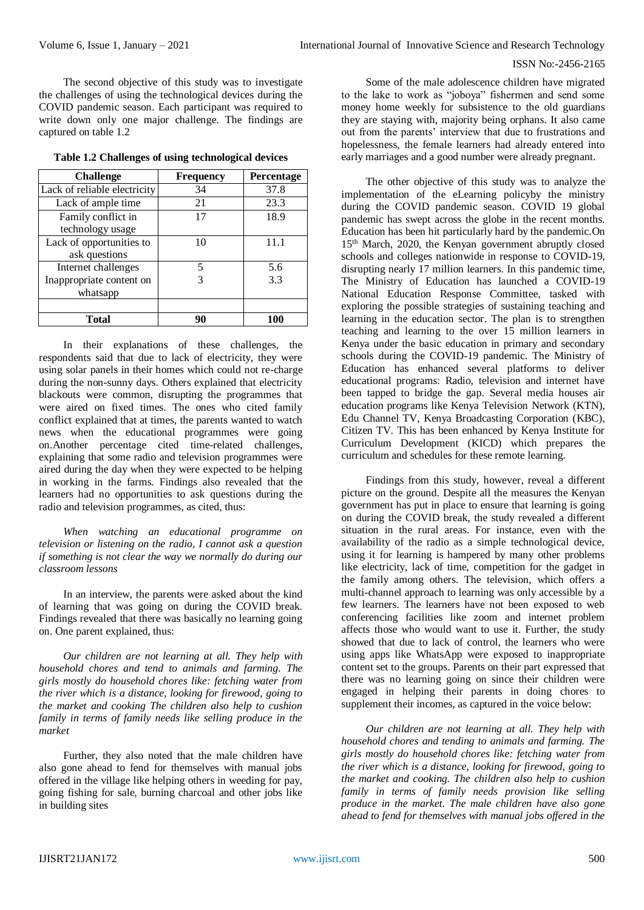The second objective of this study was to investigate the challenges of using the technological devices during the COVID pandemic season. Each participant was required to write down only one major challenge. The findings are captured on table 1.2

| <b>Challenge</b>             | Frequency | Percentage |
|------------------------------|-----------|------------|
| Lack of reliable electricity | 34        | 37.8       |
| Lack of ample time           | 21        | 23.3       |
| Family conflict in           | 17        | 18.9       |
| technology usage             |           |            |
| Lack of opportunities to     | 10        | 11.1       |
| ask questions                |           |            |
| Internet challenges          | 5         | 5.6        |
| Inappropriate content on     |           | 3.3        |
| whatsapp                     |           |            |
|                              |           |            |
| <b>Total</b>                 | 90        | 100        |

**Table 1.2 Challenges of using technological devices**

In their explanations of these challenges, the respondents said that due to lack of electricity, they were using solar panels in their homes which could not re-charge during the non-sunny days. Others explained that electricity blackouts were common, disrupting the programmes that were aired on fixed times. The ones who cited family conflict explained that at times, the parents wanted to watch news when the educational programmes were going on.Another percentage cited time-related challenges, explaining that some radio and television programmes were aired during the day when they were expected to be helping in working in the farms. Findings also revealed that the learners had no opportunities to ask questions during the radio and television programmes, as cited, thus:

*When watching an educational programme on television or listening on the radio, I cannot ask a question if something is not clear the way we normally do during our classroom lessons* 

In an interview, the parents were asked about the kind of learning that was going on during the COVID break. Findings revealed that there was basically no learning going on. One parent explained, thus:

*Our children are not learning at all. They help with household chores and tend to animals and farming. The girls mostly do household chores like: fetching water from the river which is a distance, looking for firewood, going to the market and cooking The children also help to cushion family in terms of family needs like selling produce in the market* 

Further, they also noted that the male children have also gone ahead to fend for themselves with manual jobs offered in the village like helping others in weeding for pay, going fishing for sale, burning charcoal and other jobs like in building sites

Some of the male adolescence children have migrated to the lake to work as "joboya" fishermen and send some money home weekly for subsistence to the old guardians they are staying with, majority being orphans. It also came out from the parents' interview that due to frustrations and hopelessness, the female learners had already entered into early marriages and a good number were already pregnant.

The other objective of this study was to analyze the implementation of the eLearning policyby the ministry during the COVID pandemic season. COVID 19 global pandemic has swept across the globe in the recent months. Education has been hit particularly hard by the pandemic.On 15<sup>th</sup> March, 2020, the Kenyan government abruptly closed schools and colleges nationwide in response to COVID-19, disrupting nearly 17 million learners. In this pandemic time, The Ministry of Education has launched a COVID-19 National Education Response Committee, tasked with exploring the possible strategies of sustaining teaching and learning in the education sector. The plan is to strengthen teaching and learning to the over 15 million learners in Kenya under the basic education in primary and secondary schools during the COVID-19 pandemic. The Ministry of Education has enhanced several platforms to deliver educational programs: Radio, television and internet have been tapped to bridge the gap. Several media houses air education programs like Kenya Television Network (KTN), Edu Channel TV, Kenya Broadcasting Corporation [\(KBC\)](https://nam03.safelinks.protection.outlook.com/?url=https%3A%2F%2Fen.sun.mv%2F58785&data=02%7C01%7Cmtrucano%40worldbank.org%7Cd12671555d524655546808d7d5f30abd%7C31a2fec0266b4c67b56e2796d8f59c36%7C0%7C0%7C637213112152447502&sdata=jZY99KX6j%2Fglh0EehGbHO8XbntmlJ%2BM%2BhZ1O0VusNI0%3D&reserved=0), Citizen TV. This has been enhanced by Kenya Institute for Curriculum Development [\(KICD\)](https://nam03.safelinks.protection.outlook.com/?url=http%3A%2F%2Fkicd.ac.ke%2F&data=02%7C01%7Cmtrucano%40worldbank.org%7Cd12671555d524655546808d7d5f30abd%7C31a2fec0266b4c67b56e2796d8f59c36%7C0%7C0%7C637213112152467480&sdata=yEpTF5eT%2FezqVV7LcB6aGxnsnAWLb5bhy0sCZHU6p10%3D&reserved=0) which prepares the curriculum and schedules for these remote learning.

Findings from this study, however, reveal a different picture on the ground. Despite all the measures the Kenyan government has put in place to ensure that learning is going on during the COVID break, the study revealed a different situation in the rural areas. For instance, even with the availability of the radio as a simple technological device, using it for learning is hampered by many other problems like electricity, lack of time, competition for the gadget in the family among others. The television, which offers a multi-channel approach to learning was only accessible by a few learners. The learners have not been exposed to web conferencing facilities like zoom and internet problem affects those who would want to use it. Further, the study showed that due to lack of control, the learners who were using apps like WhatsApp were exposed to inappropriate content set to the groups. Parents on their part expressed that there was no learning going on since their children were engaged in helping their parents in doing chores to supplement their incomes, as captured in the voice below:

*Our children are not learning at all. They help with household chores and tending to animals and farming. The girls mostly do household chores like: fetching water from the river which is a distance, looking for firewood, going to the market and cooking. The children also help to cushion family in terms of family needs provision like selling produce in the market. The male children have also gone ahead to fend for themselves with manual jobs offered in the*